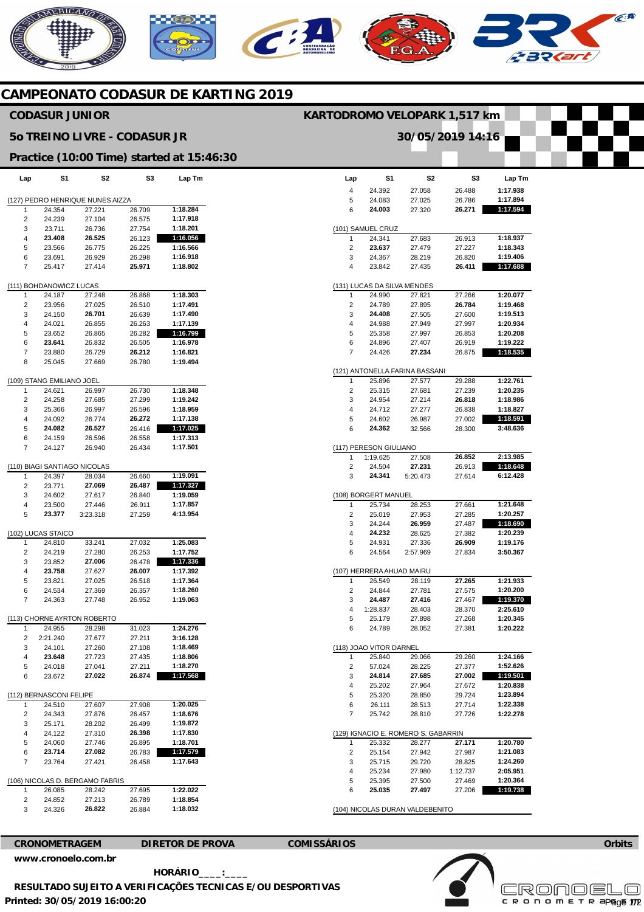# **REBICANO**  $\widehat{C}^{A}$

# **CAMPEONATO CODASUR DE KARTING 2019**

## **CODASUR JUNIOR**

### **5o TREINO LIVRE - CODASUR JR**

#### **Practice (10:00 Time) started at 15:46:30**

| Lap                              | S1                           | S2                          | S3     | Lap Tm   |  |  |  |  |  |
|----------------------------------|------------------------------|-----------------------------|--------|----------|--|--|--|--|--|
| (127) PEDRO HENRIQUE NUNES AIZZA |                              |                             |        |          |  |  |  |  |  |
| 1                                | 24.354                       | 27.221                      | 26.709 | 1:18.284 |  |  |  |  |  |
| 2                                | 24.239                       | 27.104                      | 26.575 | 1:17.918 |  |  |  |  |  |
| 3                                | 23.711                       | 26.736                      | 27.754 | 1:18.201 |  |  |  |  |  |
| 4                                | 23.408                       | 26.525                      | 26.123 | 1:16.056 |  |  |  |  |  |
| 5                                | 23.566                       | 26.775                      | 26.225 | 1:16.566 |  |  |  |  |  |
| 6                                | 23.691                       | 26.929                      | 26.298 | 1:16.918 |  |  |  |  |  |
| 7                                | 25.417                       | 27.414                      | 25.971 | 1:18.802 |  |  |  |  |  |
| (111) BOHDANOWICZ LUCAS          |                              |                             |        |          |  |  |  |  |  |
| 1                                | 24.187                       | 27.248                      | 26.868 | 1:18.303 |  |  |  |  |  |
| 2                                | 23.956                       | 27.025                      | 26.510 | 1:17.491 |  |  |  |  |  |
| 3                                | 24.150                       | 26.701                      | 26.639 | 1:17.490 |  |  |  |  |  |
| 4                                | 24.021                       | 26.855                      | 26.263 | 1:17.139 |  |  |  |  |  |
| 5                                | 23.652                       | 26.865                      | 26.282 | 1:16.799 |  |  |  |  |  |
| 6                                | 23.641                       | 26.832                      | 26.505 | 1:16.978 |  |  |  |  |  |
| 7                                | 23.880                       | 26.729                      | 26.212 | 1:16.821 |  |  |  |  |  |
| 8                                | 25.045                       | 27.669                      | 26.780 | 1:19.494 |  |  |  |  |  |
|                                  |                              |                             |        |          |  |  |  |  |  |
|                                  | (109) STANG EMILIANO JOEL    |                             |        |          |  |  |  |  |  |
| 1                                | 24.621                       | 26.997                      | 26.730 | 1:18.348 |  |  |  |  |  |
| $\overline{c}$                   | 24.258                       | 27.685                      | 27.299 | 1:19.242 |  |  |  |  |  |
| 3                                | 25.366                       | 26.997                      | 26.596 | 1:18.959 |  |  |  |  |  |
| 4                                | 24.092                       | 26.774                      | 26.272 | 1:17.138 |  |  |  |  |  |
| 5                                | 24.082                       | 26.527                      | 26.416 | 1:17.025 |  |  |  |  |  |
| 6                                | 24.159                       | 26.596                      | 26.558 | 1:17.313 |  |  |  |  |  |
| 7                                | 24.127                       | 26.940                      | 26.434 | 1:17.501 |  |  |  |  |  |
|                                  | (110) BIAGI SANTIAGO NICOLAS |                             |        |          |  |  |  |  |  |
| 1                                | 24.397                       | 28.034                      | 26.660 | 1:19.091 |  |  |  |  |  |
| $\overline{c}$                   | 23.771                       | 27.069                      | 26.487 | 1:17.327 |  |  |  |  |  |
| 3                                | 24.602                       | 27.617                      | 26.840 | 1:19.059 |  |  |  |  |  |
| 4                                | 23.500                       | 27.446                      | 26.911 | 1:17.857 |  |  |  |  |  |
| 5                                | 23.377                       | 3:23.318                    | 27.259 | 4:13.954 |  |  |  |  |  |
|                                  | (102) LUCAS STAICO           |                             |        |          |  |  |  |  |  |
| 1                                | 24.810                       | 33.241                      | 27.032 | 1:25.083 |  |  |  |  |  |
| 2                                | 24.219                       | 27.280                      | 26.253 | 1:17.752 |  |  |  |  |  |
| 3                                | 23.852                       | 27.006                      | 26.478 | 1:17.336 |  |  |  |  |  |
| 4                                | 23.758                       | 27.627                      | 26.007 | 1:17.392 |  |  |  |  |  |
| 5                                | 23.821                       | 27.025                      | 26.518 | 1:17.364 |  |  |  |  |  |
| 6                                | 24.534                       | 27.369                      | 26.357 | 1:18.260 |  |  |  |  |  |
| 7                                | 24.363                       | 27.748                      | 26.952 | 1:19.063 |  |  |  |  |  |
|                                  |                              | (113) CHORNE AYRTON ROBERTO |        |          |  |  |  |  |  |
| 1                                | 24.955                       | 28.298                      | 31.023 | 1:24.276 |  |  |  |  |  |
| 2                                | 2:21.240                     | 27.677                      | 27.211 | 3:16.128 |  |  |  |  |  |
| 3                                | 24.101                       | 27.260                      | 27.108 | 1:18.469 |  |  |  |  |  |
| 4                                | 23.648                       | 27.723                      | 27.435 | 1:18.806 |  |  |  |  |  |
| 5                                | 24.018                       | 27.041                      | 27.211 | 1:18.270 |  |  |  |  |  |
| 6                                | 23.672                       | 27.022                      | 26.874 | 1:17.568 |  |  |  |  |  |
|                                  | (112) BERNASCONI FELIPE      |                             |        |          |  |  |  |  |  |
| 1                                | 24.510                       | 27.607                      | 27.908 | 1:20.025 |  |  |  |  |  |
| 2                                | 24.343                       | 27.876                      | 26.457 | 1:18.676 |  |  |  |  |  |
| 3                                | 25.171                       | 28.202                      | 26.499 | 1:19.872 |  |  |  |  |  |
| 4                                | 24.122                       | 27.310                      | 26.398 | 1:17.830 |  |  |  |  |  |
| 5                                | 24.060                       | 27.746                      | 26.895 | 1:18.701 |  |  |  |  |  |
| 6                                | 23.714                       | 27.082                      | 26.783 | 1:17.579 |  |  |  |  |  |
| 7                                | 23.764                       | 27.421                      | 26.458 | 1:17.643 |  |  |  |  |  |
| (106) NICOLAS D. BERGAMO FABRIS  |                              |                             |        |          |  |  |  |  |  |
| 1                                | 26.085                       | 28.242                      | 27.695 | 1:22.022 |  |  |  |  |  |
| 2                                | 24.852                       | 27.213                      | 26.789 | 1:18.854 |  |  |  |  |  |
| 3                                | 24.326                       | 26.822                      | 26.884 | 1:18.032 |  |  |  |  |  |
|                                  |                              |                             |        |          |  |  |  |  |  |

| 30/05/2019 14:16 |                            |                                     |                    |                      |  |  |  |  |  |
|------------------|----------------------------|-------------------------------------|--------------------|----------------------|--|--|--|--|--|
|                  |                            |                                     |                    |                      |  |  |  |  |  |
|                  |                            |                                     |                    |                      |  |  |  |  |  |
|                  | S1                         |                                     | S3                 |                      |  |  |  |  |  |
| Lap              |                            | S <sub>2</sub>                      |                    | Lap Tm               |  |  |  |  |  |
| 4<br>5           | 24.392<br>24.083           | 27.058<br>27.025                    | 26.488<br>26.786   | 1:17.938<br>1:17.894 |  |  |  |  |  |
| 6                | 24.003                     | 27.320                              | 26.271             | 1:17.594             |  |  |  |  |  |
|                  |                            |                                     |                    |                      |  |  |  |  |  |
|                  | (101) SAMUEL CRUZ          |                                     |                    |                      |  |  |  |  |  |
| 1                | 24.341                     | 27.683                              | 26.913             | 1:18.937             |  |  |  |  |  |
| 2                | 23.637                     | 27.479                              | 27.227             | 1:18.343             |  |  |  |  |  |
| 3<br>4           | 24.367<br>23.842           | 28.219<br>27.435                    | 26.820<br>26.411   | 1:19.406<br>1:17.688 |  |  |  |  |  |
|                  |                            |                                     |                    |                      |  |  |  |  |  |
|                  | 131) LUCAS DA SILVA MENDES |                                     |                    |                      |  |  |  |  |  |
| 1                | 24.990                     | 27.821                              | 27.266<br>26.784   | 1:20.077<br>1:19.468 |  |  |  |  |  |
| 2<br>3           | 24.789<br>24.408           | 27.895<br>27.505                    | 27.600             | 1:19.513             |  |  |  |  |  |
| 4                | 24.988                     | 27.949                              | 27.997             | 1:20.934             |  |  |  |  |  |
| 5                | 25.358                     | 27.997                              | 26.853             | 1:20.208             |  |  |  |  |  |
| 6                | 24.896                     | 27.407                              | 26.919             | 1:19.222             |  |  |  |  |  |
| 7                | 24.426                     | 27.234                              | 26.875             | 1:18.535             |  |  |  |  |  |
|                  |                            |                                     |                    |                      |  |  |  |  |  |
|                  |                            | (121) ANTONELLA FARINA BASSANI      |                    | 1:22.761             |  |  |  |  |  |
| 1<br>2           | 25.896<br>25.315           | 27.577<br>27.681                    | 29.288<br>27.239   | 1:20.235             |  |  |  |  |  |
| 3                | 24.954                     | 27.214                              | 26.818             | 1:18.986             |  |  |  |  |  |
| 4                | 24.712                     | 27.277                              | 26.838             | 1:18.827             |  |  |  |  |  |
| 5                | 24.602                     | 26.987                              | 27.002             | 1:18.591             |  |  |  |  |  |
| 6                | 24.362                     | 32.566                              | 28.300             | 3:48.636             |  |  |  |  |  |
|                  |                            |                                     |                    |                      |  |  |  |  |  |
|                  | 117) PERESON GIULIANO      |                                     |                    |                      |  |  |  |  |  |
| 1                | 1:19.625                   | 27.508                              | 26.852             | 2:13.985             |  |  |  |  |  |
| 2                | 24.504                     | 27.231                              | 26.913             | 1:18.648<br>6:12.428 |  |  |  |  |  |
| 3                | 24.341                     | 5:20.473                            | 27.614             |                      |  |  |  |  |  |
|                  | (108) BORGERT MANUEL       |                                     |                    |                      |  |  |  |  |  |
| 1                | 25.734                     | 28.253                              | 27.661             | 1:21.648             |  |  |  |  |  |
| 2                | 25.019                     | 27.953                              | 27.285             | 1:20.257             |  |  |  |  |  |
| 3                | 24.244                     | 26.959                              | 27.487             | 1:18.690             |  |  |  |  |  |
| 4                | 24.232                     | 28.625                              | 27.382             | 1:20.239             |  |  |  |  |  |
| 5                | 24.931                     | 27.336                              | 26.909             | 1:19.176             |  |  |  |  |  |
| 6                | 24.564                     | 2:57.969                            | 27.834             | 3:50.367             |  |  |  |  |  |
|                  | 107) HERRERA AHUAD MAIRU   |                                     |                    |                      |  |  |  |  |  |
| 1                | 26.549                     | 28.119                              | 27.265             | 1:21.933             |  |  |  |  |  |
| 2                | 24.844                     | 27.781                              | 27.575             | 1:20.200             |  |  |  |  |  |
| 3                | 24.487                     | 27.416                              | 27.467             | 1:19.370             |  |  |  |  |  |
| 4                | 1:28.837                   | 28.403                              | 28.370             | 2:25.610             |  |  |  |  |  |
| 5                | 25.179                     | 27.898                              | 27.268             | 1:20.345             |  |  |  |  |  |
| 6                | 24.789                     | 28.052                              | 27.381             | 1:20.222             |  |  |  |  |  |
|                  | (118) JOAO VITOR DARNEL    |                                     |                    |                      |  |  |  |  |  |
| 1                | 25.840                     | 29.066                              | 29.260             | 1:24.166             |  |  |  |  |  |
| 2                | 57.024                     | 28.225                              | 27.377             | 1:52.626             |  |  |  |  |  |
| 3                | 24.814                     | 27.685                              | 27.002             | 1:19.501             |  |  |  |  |  |
| 4                | 25.202                     | 27.964                              | 27.672             | 1:20.838             |  |  |  |  |  |
| 5                | 25.320                     | 28.850<br>28.513                    | 29.724             | 1:23.894<br>1:22.338 |  |  |  |  |  |
| 6<br>7           | 26.111<br>25.742           | 28.810                              | 27.714<br>27.726   | 1:22.278             |  |  |  |  |  |
|                  |                            |                                     |                    |                      |  |  |  |  |  |
|                  |                            | (129) IGNACIO E. ROMERO S. GABARRIN |                    |                      |  |  |  |  |  |
| 1                | 25.332                     | 28.277                              | 27.171             | 1:20.780             |  |  |  |  |  |
| 2                | 25.154                     | 27.942                              | 27.987             | 1:21.083             |  |  |  |  |  |
| 3<br>4           | 25.715                     | 29.720                              | 28.825             | 1:24.260             |  |  |  |  |  |
| 5                | 25.234<br>25.395           | 27.980<br>27.500                    | 1:12.737<br>27.469 | 2:05.951<br>1:20.364 |  |  |  |  |  |
| 6                | 25.035                     | 27.497                              | 27.206             | 1:19.738             |  |  |  |  |  |
|                  |                            |                                     |                    |                      |  |  |  |  |  |
|                  |                            | (104) NICOLAS DURAN VALDEBENITO     |                    |                      |  |  |  |  |  |

**KARTODROMO VELOPARK 1,517 km** 

**[www.cronoelo.com.br](http://www.cronoelo.com.br)** 

**CRONOMETRAGEM DIRETOR DE PROVA COMISSÁRIOS** 

**Printed: 30/05/2019 16:00:20 HORÁRIO\_\_\_\_:\_\_\_\_ RESULTADO SUJEITO A VERIFICAÇÕES TECNICAS E/OU DESPORTIVAS**